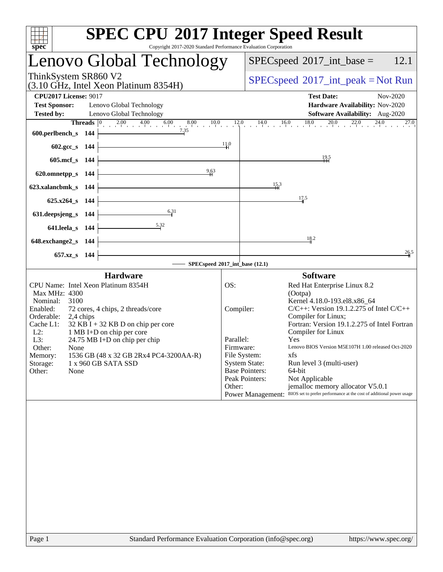| Copyright 2017-2020 Standard Performance Evaluation Corporation<br>spec <sup>®</sup>                                                                                                                                                                                                                                                                                                                                                    | <b>SPEC CPU®2017 Integer Speed Result</b>                                                                                                                                                                                                                                                                                                                                                                                                                                                                                                                                                                                                     |
|-----------------------------------------------------------------------------------------------------------------------------------------------------------------------------------------------------------------------------------------------------------------------------------------------------------------------------------------------------------------------------------------------------------------------------------------|-----------------------------------------------------------------------------------------------------------------------------------------------------------------------------------------------------------------------------------------------------------------------------------------------------------------------------------------------------------------------------------------------------------------------------------------------------------------------------------------------------------------------------------------------------------------------------------------------------------------------------------------------|
| Lenovo Global Technology                                                                                                                                                                                                                                                                                                                                                                                                                | 12.1<br>$SPEC speed^{\circ}2017\_int\_base =$                                                                                                                                                                                                                                                                                                                                                                                                                                                                                                                                                                                                 |
| ThinkSystem SR860 V2<br>(3.10 GHz, Intel Xeon Platinum 8354H)                                                                                                                                                                                                                                                                                                                                                                           | $SPEC speed^{\circ}2017\_int\_peak = Not Run$                                                                                                                                                                                                                                                                                                                                                                                                                                                                                                                                                                                                 |
| <b>CPU2017 License: 9017</b><br><b>Test Sponsor:</b><br>Lenovo Global Technology<br><b>Tested by:</b><br>Lenovo Global Technology                                                                                                                                                                                                                                                                                                       | <b>Test Date:</b><br>Nov-2020<br>Hardware Availability: Nov-2020<br>Software Availability: Aug-2020<br><b>Threads</b> $\begin{bmatrix} 0 & 2.00 & 4.00 & 6.00 & 8.00 & 10.0 & 12.0 & 14.0 & 16.0 & 18.0 & 20.0 & 22.0 & 24.0 & 27.0 & 27.0 & 27.0 & 27.0 & 27.0 & 27.0 & 27.0 & 27.0 & 27.0 & 27.0 & 27.0 & 27.0 & 27.0 & 27.0 & 27.0 & 27.0 & 27.0 & 27.0 & 27.0 & 27.0 & 27.0 & 27$<br>27.0                                                                                                                                                                                                                                                 |
| 7.35<br>600.perlbench_s $144$<br>$602.\text{gcc}\,$ s 144<br>605.mcf_s 144                                                                                                                                                                                                                                                                                                                                                              | $\frac{11.0}{4}$<br><u>19.5</u>                                                                                                                                                                                                                                                                                                                                                                                                                                                                                                                                                                                                               |
| 9,63<br>620.omnetpp_s $144$<br>623.xalancbmk_s 144<br>$625.x264_s$ 144                                                                                                                                                                                                                                                                                                                                                                  | 15.3<br>17.5                                                                                                                                                                                                                                                                                                                                                                                                                                                                                                                                                                                                                                  |
| 6.31<br>631. deepsjeng $s$ 144<br>5.32<br>$641$ .leela_s 144<br>the control of the control of the control of the control of the control of<br>648.exchange2_s 144                                                                                                                                                                                                                                                                       | 18.2<br>26.5                                                                                                                                                                                                                                                                                                                                                                                                                                                                                                                                                                                                                                  |
| 657.xz_s 144                                                                                                                                                                                                                                                                                                                                                                                                                            | $-$ SPECspeed®2017_int_base (12.1)                                                                                                                                                                                                                                                                                                                                                                                                                                                                                                                                                                                                            |
| <b>Hardware</b><br>CPU Name: Intel Xeon Platinum 8354H<br>Max MHz: 4300<br>Nominal:<br>3100<br>Enabled:<br>72 cores, 4 chips, 2 threads/core<br>Orderable:<br>2,4 chips<br>$32$ KB I + 32 KB D on chip per core<br>Cache L1:<br>$L2$ :<br>1 MB I+D on chip per core<br>L3:<br>24.75 MB I+D on chip per chip<br>Other:<br>None<br>1536 GB (48 x 32 GB 2Rx4 PC4-3200AA-R)<br>Memory:<br>1 x 960 GB SATA SSD<br>Storage:<br>Other:<br>None | <b>Software</b><br>OS:<br>Red Hat Enterprise Linux 8.2<br>(Ootpa)<br>Kernel 4.18.0-193.el8.x86 64<br>Compiler:<br>$C/C++$ : Version 19.1.2.275 of Intel $C/C++$<br>Compiler for Linux;<br>Fortran: Version 19.1.2.275 of Intel Fortran<br>Compiler for Linux<br>Parallel:<br>Yes<br>Lenovo BIOS Version M5E107H 1.00 released Oct-2020<br>Firmware:<br>File System:<br>xfs<br><b>System State:</b><br>Run level 3 (multi-user)<br><b>Base Pointers:</b><br>64-bit<br>Peak Pointers:<br>Not Applicable<br>Other:<br>jemalloc memory allocator V5.0.1<br>Power Management: BIOS set to prefer performance at the cost of additional power usage |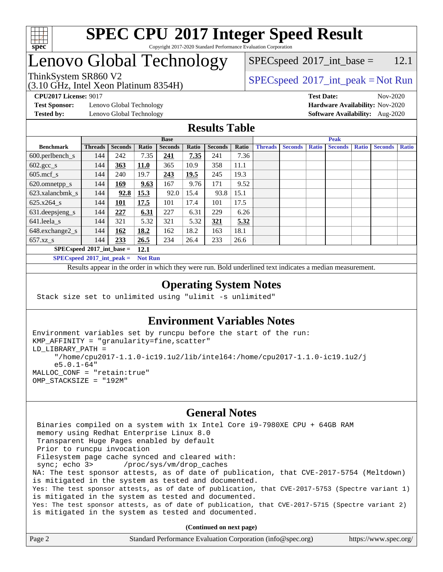

## Lenovo Global Technology

## (3.10 GHz, Intel Xeon Platinum 8354H)

 $SPECspeed^{\circ}2017\_int\_base =$  $SPECspeed^{\circ}2017\_int\_base =$  12.1

### ThinkSystem SR860 V2  $SPEC speed^{\circ}2017\_int\_peak = Not Run$

**[Test Sponsor:](http://www.spec.org/auto/cpu2017/Docs/result-fields.html#TestSponsor)** Lenovo Global Technology **[Hardware Availability:](http://www.spec.org/auto/cpu2017/Docs/result-fields.html#HardwareAvailability)** Nov-2020

**[CPU2017 License:](http://www.spec.org/auto/cpu2017/Docs/result-fields.html#CPU2017License)** 9017 **[Test Date:](http://www.spec.org/auto/cpu2017/Docs/result-fields.html#TestDate)** Nov-2020 **[Tested by:](http://www.spec.org/auto/cpu2017/Docs/result-fields.html#Testedby)** Lenovo Global Technology **[Software Availability:](http://www.spec.org/auto/cpu2017/Docs/result-fields.html#SoftwareAvailability)** Aug-2020

### **[Results Table](http://www.spec.org/auto/cpu2017/Docs/result-fields.html#ResultsTable)**

|                             | <b>Base</b>    |                |       |                |       |                |       | <b>Peak</b>    |                |              |                |              |                |              |
|-----------------------------|----------------|----------------|-------|----------------|-------|----------------|-------|----------------|----------------|--------------|----------------|--------------|----------------|--------------|
| <b>Benchmark</b>            | <b>Threads</b> | <b>Seconds</b> | Ratio | <b>Seconds</b> | Ratio | <b>Seconds</b> | Ratio | <b>Threads</b> | <b>Seconds</b> | <b>Ratio</b> | <b>Seconds</b> | <b>Ratio</b> | <b>Seconds</b> | <b>Ratio</b> |
| $600.$ perlbench_s          | 144            | 242            | 7.35  | <u>241</u>     | 7.35  | 241            | 7.36  |                |                |              |                |              |                |              |
| $602.\text{gcc}\_\text{s}$  | 144            | 363            | 11.0  | 365            | 10.9  | 358            | 11.1  |                |                |              |                |              |                |              |
| $605$ .mcf s                | 144            | 240            | 19.7  | 243            | 19.5  | 245            | 19.3  |                |                |              |                |              |                |              |
| 620.omnetpp_s               | 144            | <u> 169</u>    | 9.63  | 167            | 9.76  | 171            | 9.52  |                |                |              |                |              |                |              |
| 623.xalancbmk s             | 144            | 92.8           | 15.3  | 92.0           | 15.4  | 93.8           | 15.1  |                |                |              |                |              |                |              |
| $625.x264$ s                | 144            | <u> 101</u>    | 17.5  | 101            | 17.4  | 101            | 17.5  |                |                |              |                |              |                |              |
| 631.deepsjeng_s             | 144            | 227            | 6.31  | 227            | 6.31  | 229            | 6.26  |                |                |              |                |              |                |              |
| 641.leela s                 | 144            | 321            | 5.32  | 321            | 5.32  | <u>321</u>     | 5.32  |                |                |              |                |              |                |              |
| 648.exchange2_s             | 144            | 162            | 18.2  | 162            | 18.2  | 163            | 18.1  |                |                |              |                |              |                |              |
| $657.xz$ s                  | 144            | 233            | 26.5  | 234            | 26.4  | 233            | 26.6  |                |                |              |                |              |                |              |
| $SPECspeed*2017$ int base = | 12.1           |                |       |                |       |                |       |                |                |              |                |              |                |              |

**[SPECspeed](http://www.spec.org/auto/cpu2017/Docs/result-fields.html#SPECspeed2017intpeak)[2017\\_int\\_peak =](http://www.spec.org/auto/cpu2017/Docs/result-fields.html#SPECspeed2017intpeak) Not Run**

Results appear in the [order in which they were run.](http://www.spec.org/auto/cpu2017/Docs/result-fields.html#RunOrder) Bold underlined text [indicates a median measurement.](http://www.spec.org/auto/cpu2017/Docs/result-fields.html#Median)

### **[Operating System Notes](http://www.spec.org/auto/cpu2017/Docs/result-fields.html#OperatingSystemNotes)**

Stack size set to unlimited using "ulimit -s unlimited"

### **[Environment Variables Notes](http://www.spec.org/auto/cpu2017/Docs/result-fields.html#EnvironmentVariablesNotes)**

```
Environment variables set by runcpu before the start of the run:
KMP_AFFINITY = "granularity=fine,scatter"
LD_LIBRARY_PATH =
      "/home/cpu2017-1.1.0-ic19.1u2/lib/intel64:/home/cpu2017-1.1.0-ic19.1u2/j
      e5.0.1-64"
MALLOC_CONF = "retain:true"
OMP_STACKSIZE = "192M"
```
### **[General Notes](http://www.spec.org/auto/cpu2017/Docs/result-fields.html#GeneralNotes)**

 Binaries compiled on a system with 1x Intel Core i9-7980XE CPU + 64GB RAM memory using Redhat Enterprise Linux 8.0 Transparent Huge Pages enabled by default Prior to runcpu invocation Filesystem page cache synced and cleared with: sync; echo 3> /proc/sys/vm/drop\_caches NA: The test sponsor attests, as of date of publication, that CVE-2017-5754 (Meltdown) is mitigated in the system as tested and documented. Yes: The test sponsor attests, as of date of publication, that CVE-2017-5753 (Spectre variant 1) is mitigated in the system as tested and documented. Yes: The test sponsor attests, as of date of publication, that CVE-2017-5715 (Spectre variant 2) is mitigated in the system as tested and documented.

**(Continued on next page)**

| Page 2 | Standard Performance Evaluation Corporation (info@spec.org) | https://www.spec.org/ |
|--------|-------------------------------------------------------------|-----------------------|
|--------|-------------------------------------------------------------|-----------------------|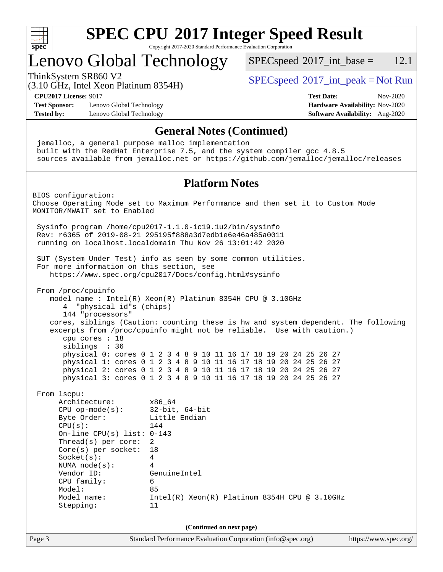

## Lenovo Global Technology

 $SPECspeed^{\circ}2017\_int\_base = 12.1$  $SPECspeed^{\circ}2017\_int\_base = 12.1$ 

(3.10 GHz, Intel Xeon Platinum 8354H)

ThinkSystem SR860 V2  $\begin{array}{c} \text{SPEC speed} \textdegree 2017\_int\_peak = Not Run \end{array}$ 

**[CPU2017 License:](http://www.spec.org/auto/cpu2017/Docs/result-fields.html#CPU2017License)** 9017 **[Test Date:](http://www.spec.org/auto/cpu2017/Docs/result-fields.html#TestDate)** Nov-2020

**[Test Sponsor:](http://www.spec.org/auto/cpu2017/Docs/result-fields.html#TestSponsor)** Lenovo Global Technology **[Hardware Availability:](http://www.spec.org/auto/cpu2017/Docs/result-fields.html#HardwareAvailability)** Nov-2020 **[Tested by:](http://www.spec.org/auto/cpu2017/Docs/result-fields.html#Testedby)** Lenovo Global Technology **[Software Availability:](http://www.spec.org/auto/cpu2017/Docs/result-fields.html#SoftwareAvailability)** Aug-2020

Page 3 Standard Performance Evaluation Corporation [\(info@spec.org\)](mailto:info@spec.org) <https://www.spec.org/> **[General Notes \(Continued\)](http://www.spec.org/auto/cpu2017/Docs/result-fields.html#GeneralNotes)** jemalloc, a general purpose malloc implementation built with the RedHat Enterprise 7.5, and the system compiler gcc 4.8.5 sources available from jemalloc.net or <https://github.com/jemalloc/jemalloc/releases> **[Platform Notes](http://www.spec.org/auto/cpu2017/Docs/result-fields.html#PlatformNotes)** BIOS configuration: Choose Operating Mode set to Maximum Performance and then set it to Custom Mode MONITOR/MWAIT set to Enabled Sysinfo program /home/cpu2017-1.1.0-ic19.1u2/bin/sysinfo Rev: r6365 of 2019-08-21 295195f888a3d7edb1e6e46a485a0011 running on localhost.localdomain Thu Nov 26 13:01:42 2020 SUT (System Under Test) info as seen by some common utilities. For more information on this section, see <https://www.spec.org/cpu2017/Docs/config.html#sysinfo> From /proc/cpuinfo model name : Intel(R) Xeon(R) Platinum 8354H CPU @ 3.10GHz 4 "physical id"s (chips) 144 "processors" cores, siblings (Caution: counting these is hw and system dependent. The following excerpts from /proc/cpuinfo might not be reliable. Use with caution.) cpu cores : 18 siblings : 36 physical 0: cores 0 1 2 3 4 8 9 10 11 16 17 18 19 20 24 25 26 27 physical 1: cores 0 1 2 3 4 8 9 10 11 16 17 18 19 20 24 25 26 27 physical 2: cores 0 1 2 3 4 8 9 10 11 16 17 18 19 20 24 25 26 27 physical 3: cores 0 1 2 3 4 8 9 10 11 16 17 18 19 20 24 25 26 27 From lscpu: Architecture: x86\_64 CPU op-mode(s): 32-bit, 64-bit Byte Order: Little Endian  $CPU(s):$  144 On-line CPU(s) list: 0-143 Thread(s) per core: 2 Core(s) per socket: 18 Socket(s): 4 NUMA node(s): 4<br>Vendor ID: GenuineIntel Vendor ID: CPU family: 6 Model: 85 Model name: Intel(R) Xeon(R) Platinum 8354H CPU @ 3.10GHz Stepping: 11 **(Continued on next page)**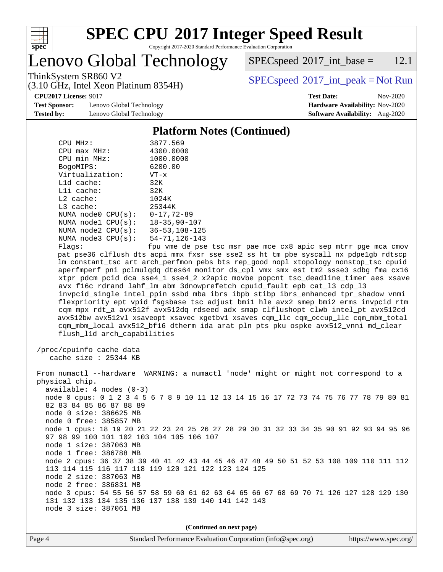

# **[SPEC CPU](http://www.spec.org/auto/cpu2017/Docs/result-fields.html#SPECCPU2017IntegerSpeedResult)[2017 Integer Speed Result](http://www.spec.org/auto/cpu2017/Docs/result-fields.html#SPECCPU2017IntegerSpeedResult)**

Copyright 2017-2020 Standard Performance Evaluation Corporation

Lenovo Global Technology

 $SPEC speed^{\circ}2017\_int\_base = 12.1$ 

(3.10 GHz, Intel Xeon Platinum 8354H)

ThinkSystem SR860 V2  $SPEC speed^{\circ}2017\_int\_peak = Not Run$ 

**[Test Sponsor:](http://www.spec.org/auto/cpu2017/Docs/result-fields.html#TestSponsor)** Lenovo Global Technology **[Hardware Availability:](http://www.spec.org/auto/cpu2017/Docs/result-fields.html#HardwareAvailability)** Nov-2020 **[Tested by:](http://www.spec.org/auto/cpu2017/Docs/result-fields.html#Testedby)** Lenovo Global Technology **[Software Availability:](http://www.spec.org/auto/cpu2017/Docs/result-fields.html#SoftwareAvailability)** Aug-2020

**[CPU2017 License:](http://www.spec.org/auto/cpu2017/Docs/result-fields.html#CPU2017License)** 9017 **[Test Date:](http://www.spec.org/auto/cpu2017/Docs/result-fields.html#TestDate)** Nov-2020

### **[Platform Notes \(Continued\)](http://www.spec.org/auto/cpu2017/Docs/result-fields.html#PlatformNotes)**

| CPU MHz:           | 3877.569             |
|--------------------|----------------------|
| $CPU$ max $MHz$ :  | 4300.0000            |
| CPU min MHz:       | 1000.0000            |
| BogoMIPS:          | 6200.00              |
| Virtualization:    | $VT - x$             |
| $L1d$ cache:       | 32K                  |
| $L1i$ cache:       | 32K                  |
| $L2$ cache:        | 1024K                |
| $L3$ cache:        | 25344K               |
| NUMA node0 CPU(s): | $0 - 17, 72 - 89$    |
| NUMA node1 CPU(s): | $18 - 35, 90 - 107$  |
| NUMA node2 CPU(s): | $36 - 53, 108 - 125$ |
| NUMA node3 CPU(s): | 54-71,126-143        |
| $F1$ ane:          | fnu vme de nee       |

Flags: fpu vme de pse tsc msr pae mce cx8 apic sep mtrr pge mca cmov pat pse36 clflush dts acpi mmx fxsr sse sse2 ss ht tm pbe syscall nx pdpe1gb rdtscp lm constant\_tsc art arch\_perfmon pebs bts rep\_good nopl xtopology nonstop\_tsc cpuid aperfmperf pni pclmulqdq dtes64 monitor ds\_cpl vmx smx est tm2 ssse3 sdbg fma cx16 xtpr pdcm pcid dca sse4\_1 sse4\_2 x2apic movbe popcnt tsc\_deadline\_timer aes xsave avx f16c rdrand lahf\_lm abm 3dnowprefetch cpuid\_fault epb cat\_l3 cdp\_l3 invpcid\_single intel\_ppin ssbd mba ibrs ibpb stibp ibrs\_enhanced tpr\_shadow vnmi flexpriority ept vpid fsgsbase tsc\_adjust bmi1 hle avx2 smep bmi2 erms invpcid rtm cqm mpx rdt\_a avx512f avx512dq rdseed adx smap clflushopt clwb intel\_pt avx512cd avx512bw avx512vl xsaveopt xsavec xgetbv1 xsaves cqm\_llc cqm\_occup\_llc cqm\_mbm\_total cqm\_mbm\_local avx512\_bf16 dtherm ida arat pln pts pku ospke avx512\_vnni md\_clear flush\_l1d arch\_capabilities

 /proc/cpuinfo cache data cache size : 25344 KB

 From numactl --hardware WARNING: a numactl 'node' might or might not correspond to a physical chip. available: 4 nodes (0-3) node 0 cpus: 0 1 2 3 4 5 6 7 8 9 10 11 12 13 14 15 16 17 72 73 74 75 76 77 78 79 80 81 82 83 84 85 86 87 88 89 node 0 size: 386625 MB node 0 free: 385857 MB node 1 cpus: 18 19 20 21 22 23 24 25 26 27 28 29 30 31 32 33 34 35 90 91 92 93 94 95 96 97 98 99 100 101 102 103 104 105 106 107 node 1 size: 387063 MB node 1 free: 386788 MB node 2 cpus: 36 37 38 39 40 41 42 43 44 45 46 47 48 49 50 51 52 53 108 109 110 111 112 113 114 115 116 117 118 119 120 121 122 123 124 125 node 2 size: 387063 MB node 2 free: 386831 MB node 3 cpus: 54 55 56 57 58 59 60 61 62 63 64 65 66 67 68 69 70 71 126 127 128 129 130 131 132 133 134 135 136 137 138 139 140 141 142 143 node 3 size: 387061 MB

**(Continued on next page)**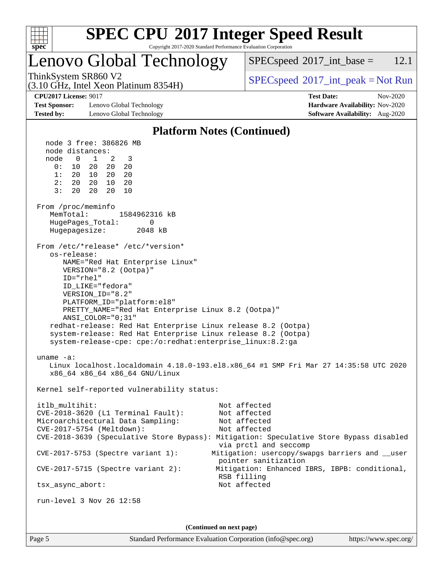

# **[SPEC CPU](http://www.spec.org/auto/cpu2017/Docs/result-fields.html#SPECCPU2017IntegerSpeedResult)[2017 Integer Speed Result](http://www.spec.org/auto/cpu2017/Docs/result-fields.html#SPECCPU2017IntegerSpeedResult)**

Copyright 2017-2020 Standard Performance Evaluation Corporation

## Lenovo Global Technology

 $SPECspeed^{\circ}2017\_int\_base = 12.1$  $SPECspeed^{\circ}2017\_int\_base = 12.1$ 

(3.10 GHz, Intel Xeon Platinum 8354H)

ThinkSystem SR860 V2  $SPEC speed^{\circ}2017\_int\_peak = Not Run$ 

**[Test Sponsor:](http://www.spec.org/auto/cpu2017/Docs/result-fields.html#TestSponsor)** Lenovo Global Technology **[Hardware Availability:](http://www.spec.org/auto/cpu2017/Docs/result-fields.html#HardwareAvailability)** Nov-2020 **[Tested by:](http://www.spec.org/auto/cpu2017/Docs/result-fields.html#Testedby)** Lenovo Global Technology **[Software Availability:](http://www.spec.org/auto/cpu2017/Docs/result-fields.html#SoftwareAvailability)** Aug-2020

**[CPU2017 License:](http://www.spec.org/auto/cpu2017/Docs/result-fields.html#CPU2017License)** 9017 **[Test Date:](http://www.spec.org/auto/cpu2017/Docs/result-fields.html#TestDate)** Nov-2020

### **[Platform Notes \(Continued\)](http://www.spec.org/auto/cpu2017/Docs/result-fields.html#PlatformNotes)**

 node 3 free: 386826 MB node distances: node 0 1 2 3 0: 10 20 20 20 1: 20 10 20 20 2: 20 20 10 20 3: 20 20 20 10 From /proc/meminfo MemTotal: 1584962316 kB HugePages\_Total: 0 Hugepagesize: 2048 kB From /etc/\*release\* /etc/\*version\* os-release: NAME="Red Hat Enterprise Linux" VERSION="8.2 (Ootpa)" ID="rhel" ID\_LIKE="fedora" VERSION\_ID="8.2" PLATFORM\_ID="platform:el8" PRETTY\_NAME="Red Hat Enterprise Linux 8.2 (Ootpa)" ANSI\_COLOR="0;31" redhat-release: Red Hat Enterprise Linux release 8.2 (Ootpa) system-release: Red Hat Enterprise Linux release 8.2 (Ootpa) system-release-cpe: cpe:/o:redhat:enterprise\_linux:8.2:ga uname -a: Linux localhost.localdomain 4.18.0-193.el8.x86\_64 #1 SMP Fri Mar 27 14:35:58 UTC 2020 x86\_64 x86\_64 x86\_64 GNU/Linux Kernel self-reported vulnerability status: itlb\_multihit: Not affected CVE-2018-3620 (L1 Terminal Fault): Not affected Microarchitectural Data Sampling: Not affected CVE-2017-5754 (Meltdown): Not affected CVE-2018-3639 (Speculative Store Bypass): Mitigation: Speculative Store Bypass disabled via prctl and seccomp CVE-2017-5753 (Spectre variant 1): Mitigation: usercopy/swapgs barriers and \_\_user pointer sanitization CVE-2017-5715 (Spectre variant 2): Mitigation: Enhanced IBRS, IBPB: conditional, RSB filling tsx\_async\_abort: Not affected run-level 3 Nov 26 12:58 **(Continued on next page)**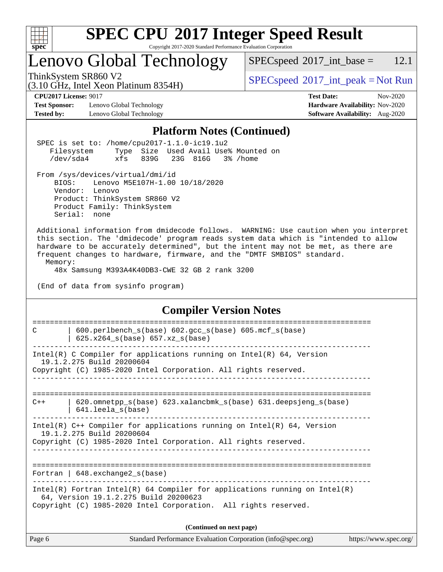

# **[SPEC CPU](http://www.spec.org/auto/cpu2017/Docs/result-fields.html#SPECCPU2017IntegerSpeedResult)[2017 Integer Speed Result](http://www.spec.org/auto/cpu2017/Docs/result-fields.html#SPECCPU2017IntegerSpeedResult)**

Copyright 2017-2020 Standard Performance Evaluation Corporation

## Lenovo Global Technology

 $SPECspeed^{\circledcirc}2017\_int\_base = 12.1$  $SPECspeed^{\circledcirc}2017\_int\_base = 12.1$ 

(3.10 GHz, Intel Xeon Platinum 8354H)

ThinkSystem SR860 V2<br>  $(3.10 \text{ GHz} \text{ Intel } \text{Yoon}$  Blatinum 8354H) [SPECspeed](http://www.spec.org/auto/cpu2017/Docs/result-fields.html#SPECspeed2017intpeak)<sup>®</sup>[2017\\_int\\_peak = N](http://www.spec.org/auto/cpu2017/Docs/result-fields.html#SPECspeed2017intpeak)ot Run

**[Test Sponsor:](http://www.spec.org/auto/cpu2017/Docs/result-fields.html#TestSponsor)** Lenovo Global Technology **[Hardware Availability:](http://www.spec.org/auto/cpu2017/Docs/result-fields.html#HardwareAvailability)** Nov-2020 **[Tested by:](http://www.spec.org/auto/cpu2017/Docs/result-fields.html#Testedby)** Lenovo Global Technology **[Software Availability:](http://www.spec.org/auto/cpu2017/Docs/result-fields.html#SoftwareAvailability)** Aug-2020

**[CPU2017 License:](http://www.spec.org/auto/cpu2017/Docs/result-fields.html#CPU2017License)** 9017 **[Test Date:](http://www.spec.org/auto/cpu2017/Docs/result-fields.html#TestDate)** Nov-2020

### **[Platform Notes \(Continued\)](http://www.spec.org/auto/cpu2017/Docs/result-fields.html#PlatformNotes)**

|         |                                                                                                                                                                                                                                                                                                                                                |  |                                 | I Iauol III Potes (Continueu)                               |                             |  |                       |
|---------|------------------------------------------------------------------------------------------------------------------------------------------------------------------------------------------------------------------------------------------------------------------------------------------------------------------------------------------------|--|---------------------------------|-------------------------------------------------------------|-----------------------------|--|-----------------------|
|         | SPEC is set to: /home/cpu2017-1.1.0-ic19.1u2<br>Filesystem Type Size Used Avail Use% Mounted on<br>/dev/sda4 xfs 839G 23G 816G 3% /home                                                                                                                                                                                                        |  |                                 |                                                             |                             |  |                       |
|         | From /sys/devices/virtual/dmi/id<br>BIOS: Lenovo M5E107H-1.00 10/18/2020<br>Vendor: Lenovo<br>Product: ThinkSystem SR860 V2<br>Product Family: ThinkSystem<br>Serial: none                                                                                                                                                                     |  |                                 |                                                             |                             |  |                       |
| Memory: | Additional information from dmidecode follows. WARNING: Use caution when you interpret<br>this section. The 'dmidecode' program reads system data which is "intended to allow<br>hardware to be accurately determined", but the intent may not be met, as there are<br>frequent changes to hardware, firmware, and the "DMTF SMBIOS" standard. |  |                                 |                                                             |                             |  |                       |
|         | 48x Samsung M393A4K40DB3-CWE 32 GB 2 rank 3200<br>(End of data from sysinfo program)                                                                                                                                                                                                                                                           |  |                                 |                                                             |                             |  |                       |
|         |                                                                                                                                                                                                                                                                                                                                                |  |                                 | <b>Compiler Version Notes</b>                               |                             |  |                       |
| C       | 600.perlbench_s(base) 602.gcc_s(base) 605.mcf_s(base)<br>$  625.x264_s(base) 657.xz_s(base)$                                                                                                                                                                                                                                                   |  | =============================== |                                                             | =========================== |  |                       |
|         | $Intel(R)$ C Compiler for applications running on $Intel(R)$ 64, Version<br>19.1.2.275 Build 20200604<br>Copyright (C) 1985-2020 Intel Corporation. All rights reserved.                                                                                                                                                                       |  |                                 |                                                             |                             |  |                       |
| $C++$   | 620.omnetpp_s(base) 623.xalancbmk_s(base) 631.deepsjeng_s(base)<br>$  641.$ leela_s(base)                                                                                                                                                                                                                                                      |  |                                 |                                                             |                             |  |                       |
|         | Intel(R) $C++$ Compiler for applications running on Intel(R) 64, Version<br>19.1.2.275 Build 20200604<br>Copyright (C) 1985-2020 Intel Corporation. All rights reserved.                                                                                                                                                                       |  |                                 |                                                             |                             |  |                       |
|         | Fortran   $648$ . exchange2 $s(base)$                                                                                                                                                                                                                                                                                                          |  |                                 |                                                             |                             |  |                       |
|         | Intel(R) Fortran Intel(R) 64 Compiler for applications running on Intel(R)<br>64, Version 19.1.2.275 Build 20200623<br>Copyright (C) 1985-2020 Intel Corporation. All rights reserved.                                                                                                                                                         |  |                                 |                                                             |                             |  |                       |
|         |                                                                                                                                                                                                                                                                                                                                                |  | (Continued on next page)        |                                                             |                             |  |                       |
| Page 6  |                                                                                                                                                                                                                                                                                                                                                |  |                                 | Standard Performance Evaluation Corporation (info@spec.org) |                             |  | https://www.spec.org/ |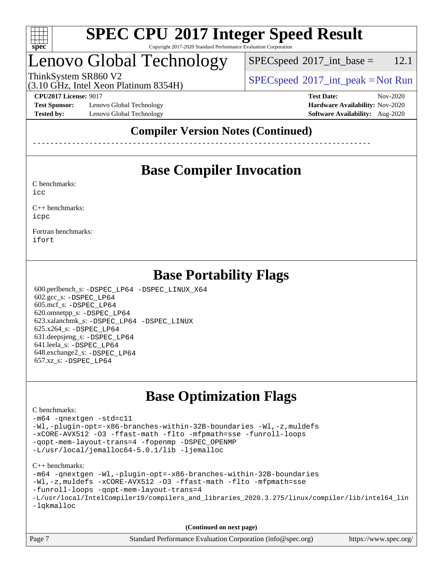

## Lenovo Global Technology

 $SPECspeed^{\circ}2017\_int\_base = 12.1$  $SPECspeed^{\circ}2017\_int\_base = 12.1$ 

(3.10 GHz, Intel Xeon Platinum 8354H)

ThinkSystem SR860 V2  $\begin{array}{c} \text{SPEC speed} \textdegree 2017\_int\_peak = Not Run \end{array}$ 

**[Test Sponsor:](http://www.spec.org/auto/cpu2017/Docs/result-fields.html#TestSponsor)** Lenovo Global Technology **[Hardware Availability:](http://www.spec.org/auto/cpu2017/Docs/result-fields.html#HardwareAvailability)** Nov-2020 **[Tested by:](http://www.spec.org/auto/cpu2017/Docs/result-fields.html#Testedby)** Lenovo Global Technology **[Software Availability:](http://www.spec.org/auto/cpu2017/Docs/result-fields.html#SoftwareAvailability)** Aug-2020

**[CPU2017 License:](http://www.spec.org/auto/cpu2017/Docs/result-fields.html#CPU2017License)** 9017 **[Test Date:](http://www.spec.org/auto/cpu2017/Docs/result-fields.html#TestDate)** Nov-2020

### **[Compiler Version Notes \(Continued\)](http://www.spec.org/auto/cpu2017/Docs/result-fields.html#CompilerVersionNotes)**

------------------------------------------------------------------------------

## **[Base Compiler Invocation](http://www.spec.org/auto/cpu2017/Docs/result-fields.html#BaseCompilerInvocation)**

[C benchmarks](http://www.spec.org/auto/cpu2017/Docs/result-fields.html#Cbenchmarks): [icc](http://www.spec.org/cpu2017/results/res2020q4/cpu2017-20201207-24534.flags.html#user_CCbase_intel_icc_66fc1ee009f7361af1fbd72ca7dcefbb700085f36577c54f309893dd4ec40d12360134090235512931783d35fd58c0460139e722d5067c5574d8eaf2b3e37e92)

[C++ benchmarks:](http://www.spec.org/auto/cpu2017/Docs/result-fields.html#CXXbenchmarks) [icpc](http://www.spec.org/cpu2017/results/res2020q4/cpu2017-20201207-24534.flags.html#user_CXXbase_intel_icpc_c510b6838c7f56d33e37e94d029a35b4a7bccf4766a728ee175e80a419847e808290a9b78be685c44ab727ea267ec2f070ec5dc83b407c0218cded6866a35d07)

[Fortran benchmarks](http://www.spec.org/auto/cpu2017/Docs/result-fields.html#Fortranbenchmarks): [ifort](http://www.spec.org/cpu2017/results/res2020q4/cpu2017-20201207-24534.flags.html#user_FCbase_intel_ifort_8111460550e3ca792625aed983ce982f94888b8b503583aa7ba2b8303487b4d8a21a13e7191a45c5fd58ff318f48f9492884d4413fa793fd88dd292cad7027ca)

### **[Base Portability Flags](http://www.spec.org/auto/cpu2017/Docs/result-fields.html#BasePortabilityFlags)**

 600.perlbench\_s: [-DSPEC\\_LP64](http://www.spec.org/cpu2017/results/res2020q4/cpu2017-20201207-24534.flags.html#b600.perlbench_s_basePORTABILITY_DSPEC_LP64) [-DSPEC\\_LINUX\\_X64](http://www.spec.org/cpu2017/results/res2020q4/cpu2017-20201207-24534.flags.html#b600.perlbench_s_baseCPORTABILITY_DSPEC_LINUX_X64) 602.gcc\_s: [-DSPEC\\_LP64](http://www.spec.org/cpu2017/results/res2020q4/cpu2017-20201207-24534.flags.html#suite_basePORTABILITY602_gcc_s_DSPEC_LP64) 605.mcf\_s: [-DSPEC\\_LP64](http://www.spec.org/cpu2017/results/res2020q4/cpu2017-20201207-24534.flags.html#suite_basePORTABILITY605_mcf_s_DSPEC_LP64) 620.omnetpp\_s: [-DSPEC\\_LP64](http://www.spec.org/cpu2017/results/res2020q4/cpu2017-20201207-24534.flags.html#suite_basePORTABILITY620_omnetpp_s_DSPEC_LP64) 623.xalancbmk\_s: [-DSPEC\\_LP64](http://www.spec.org/cpu2017/results/res2020q4/cpu2017-20201207-24534.flags.html#suite_basePORTABILITY623_xalancbmk_s_DSPEC_LP64) [-DSPEC\\_LINUX](http://www.spec.org/cpu2017/results/res2020q4/cpu2017-20201207-24534.flags.html#b623.xalancbmk_s_baseCXXPORTABILITY_DSPEC_LINUX) 625.x264\_s: [-DSPEC\\_LP64](http://www.spec.org/cpu2017/results/res2020q4/cpu2017-20201207-24534.flags.html#suite_basePORTABILITY625_x264_s_DSPEC_LP64) 631.deepsjeng\_s: [-DSPEC\\_LP64](http://www.spec.org/cpu2017/results/res2020q4/cpu2017-20201207-24534.flags.html#suite_basePORTABILITY631_deepsjeng_s_DSPEC_LP64) 641.leela\_s: [-DSPEC\\_LP64](http://www.spec.org/cpu2017/results/res2020q4/cpu2017-20201207-24534.flags.html#suite_basePORTABILITY641_leela_s_DSPEC_LP64) 648.exchange2\_s: [-DSPEC\\_LP64](http://www.spec.org/cpu2017/results/res2020q4/cpu2017-20201207-24534.flags.html#suite_basePORTABILITY648_exchange2_s_DSPEC_LP64) 657.xz\_s: [-DSPEC\\_LP64](http://www.spec.org/cpu2017/results/res2020q4/cpu2017-20201207-24534.flags.html#suite_basePORTABILITY657_xz_s_DSPEC_LP64)

## **[Base Optimization Flags](http://www.spec.org/auto/cpu2017/Docs/result-fields.html#BaseOptimizationFlags)**

#### [C benchmarks](http://www.spec.org/auto/cpu2017/Docs/result-fields.html#Cbenchmarks):

```
-m64 -qnextgen -std=c11
-Wl,-plugin-opt=-x86-branches-within-32B-boundaries -Wl,-z,muldefs
-xCORE-AVX512 -O3 -ffast-math -flto -mfpmath=sse -funroll-loops
-qopt-mem-layout-trans=4 -fopenmp -DSPEC_OPENMP
-L/usr/local/jemalloc64-5.0.1/lib -ljemalloc
```
#### [C++ benchmarks:](http://www.spec.org/auto/cpu2017/Docs/result-fields.html#CXXbenchmarks)

```
-m64 -qnextgen -Wl,-plugin-opt=-x86-branches-within-32B-boundaries
-Wl,-z,muldefs -xCORE-AVX512 -O3 -ffast-math -flto -mfpmath=sse
-funroll-loops -qopt-mem-layout-trans=4
-L/usr/local/IntelCompiler19/compilers_and_libraries_2020.3.275/linux/compiler/lib/intel64_lin
-lqkmalloc
```
**(Continued on next page)**

| Page 7 | Standard Performance Evaluation Corporation (info@spec.org) | https://www.spec.org/ |
|--------|-------------------------------------------------------------|-----------------------|